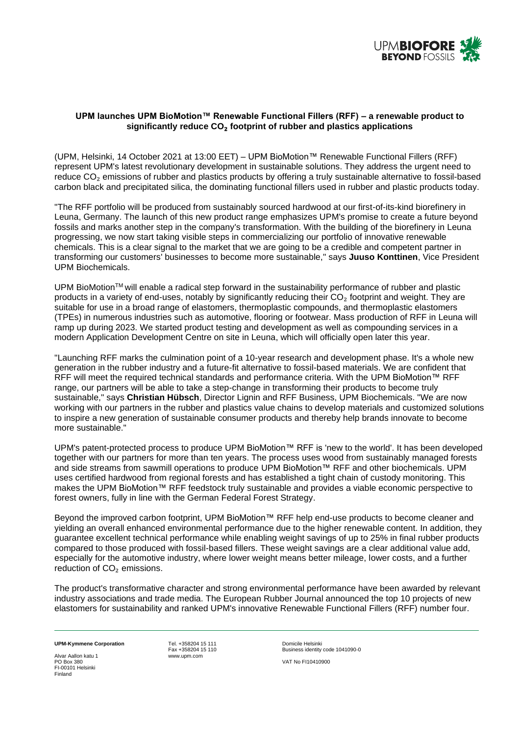

# **UPM launches UPM BioMotion™ Renewable Functional Fillers (RFF) – a renewable product to significantly reduce CO**₂ **footprint of rubber and plastics applications**

(UPM, Helsinki, 14 October 2021 at 13:00 EET) – UPM BioMotion™ Renewable Functional Fillers (RFF) represent UPM's latest revolutionary development in sustainable solutions. They address the urgent need to reduce CO<sub>2</sub> emissions of rubber and plastics products by offering a truly sustainable alternative to fossil-based carbon black and precipitated silica, the dominating functional fillers used in rubber and plastic products today.

"The RFF portfolio will be produced from sustainably sourced hardwood at our first-of-its-kind biorefinery in Leuna, Germany. The launch of this new product range emphasizes UPM's promise to create a future beyond fossils and marks another step in the company's transformation. With the building of the biorefinery in Leuna progressing, we now start taking visible steps in commercializing our portfolio of innovative renewable chemicals. This is a clear signal to the market that we are going to be a credible and competent partner in transforming our customers' businesses to become more sustainable," says **Juuso Konttinen**, Vice President UPM Biochemicals.

UPM BioMotionTM will enable a radical step forward in the sustainability performance of rubber and plastic products in a variety of end-uses, notably by significantly reducing their  $CO<sub>2</sub>$  footprint and weight. They are suitable for use in a broad range of elastomers, thermoplastic compounds, and thermoplastic elastomers (TPEs) in numerous industries such as automotive, flooring or footwear. Mass production of RFF in Leuna will ramp up during 2023. We started product testing and development as well as compounding services in a modern Application Development Centre on site in Leuna, which will officially open later this year.

"Launching RFF marks the culmination point of a 10-year research and development phase. It's a whole new generation in the rubber industry and a future-fit alternative to fossil-based materials. We are confident that RFF will meet the required technical standards and performance criteria. With the UPM BioMotion™ RFF range, our partners will be able to take a step-change in transforming their products to become truly sustainable," says **Christian Hübsch**, Director Lignin and RFF Business, UPM Biochemicals. "We are now working with our partners in the rubber and plastics value chains to develop materials and customized solutions to inspire a new generation of sustainable consumer products and thereby help brands innovate to become more sustainable."

UPM's patent-protected process to produce UPM BioMotion™ RFF is 'new to the world'. It has been developed together with our partners for more than ten years. The process uses wood from sustainably managed forests and side streams from sawmill operations to produce UPM BioMotion™ RFF and other biochemicals. UPM uses certified hardwood from regional forests and has established a tight chain of custody monitoring. This makes the UPM BioMotion™ RFF feedstock truly sustainable and provides a viable economic perspective to forest owners, fully in line with the German Federal Forest Strategy.

Beyond the improved carbon footprint, UPM BioMotion™ RFF help end-use products to become cleaner and yielding an overall enhanced environmental performance due to the higher renewable content. In addition, they guarantee excellent technical performance while enabling weight savings of up to 25% in final rubber products compared to those produced with fossil-based fillers. These weight savings are a clear additional value add, especially for the automotive industry, where lower weight means better mileage, lower costs, and a further reduction of CO<sub>2</sub> emissions.

The product's transformative character and strong environmental performance have been awarded by relevant industry associations and trade media. The European Rubber Journal announced the top 10 projects of new elastomers for sustainability and ranked UPM's innovative Renewable Functional Fillers (RFF) number four.

Alvar Aallon katu 1<br>PO Box 380 FI-00101 Helsinki Finland

**UPM-Kymmene Corporation**<br>
Fax +358204 15 110 Domicile Helsinki<br>
Fax +358204 15 110 Business identity

Fax +358204 15 110 Business identity code 1041090-0 VAT No FI10410900